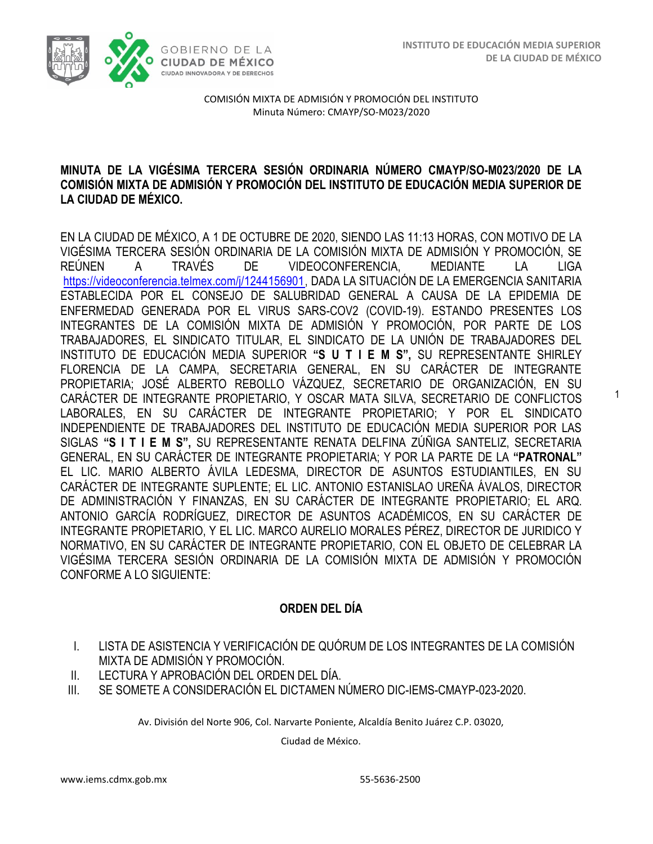1



COMISIÓN MIXTA DE ADMISIÓN Y PROMOCIÓN DEL INSTITUTO Minuta Número: CMAYP/SO-M023/2020

#### **MINUTA DE LA VIGÉSIMA TERCERA SESIÓN ORDINARIA NÚMERO CMAYP/SO-M023/2020 DE LA COMISIÓN MIXTA DE ADMISIÓN Y PROMOCIÓN DEL INSTITUTO DE EDUCACIÓN MEDIA SUPERIOR DE LA CIUDAD DE MÉXICO.**

EN LA CIUDAD DE MÉXICO, A 1 DE OCTUBRE DE 2020, SIENDO LAS 11:13 HORAS, CON MOTIVO DE LA VIGÉSIMA TERCERA SESIÓN ORDINARIA DE LA COMISIÓN MIXTA DE ADMISIÓN Y PROMOCIÓN, SE REÚNEN A TRAVÉS DE VIDEOCONFERENCIA, MEDIANTE LA LIGA [https://videoconferencia.telmex.com/j/1244156901,](https://drive.google.com/open?id=16fFPa76bUw57BP_lbYGd_LGWPST0jOdP) DADA LA SITUACIÓN DE LA EMERGENCIA SANITARIA ESTABLECIDA POR EL CONSEJO DE SALUBRIDAD GENERAL A CAUSA DE LA EPIDEMIA DE ENFERMEDAD GENERADA POR EL VIRUS SARS-COV2 (COVID-19). ESTANDO PRESENTES LOS INTEGRANTES DE LA COMISIÓN MIXTA DE ADMISIÓN Y PROMOCIÓN, POR PARTE DE LOS TRABAJADORES, EL SINDICATO TITULAR, EL SINDICATO DE LA UNIÓN DE TRABAJADORES DEL INSTITUTO DE EDUCACIÓN MEDIA SUPERIOR **"S U T I E M S",** SU REPRESENTANTE SHIRLEY FLORENCIA DE LA CAMPA, SECRETARIA GENERAL, EN SU CARÁCTER DE INTEGRANTE PROPIETARIA; JOSÉ ALBERTO REBOLLO VÁZQUEZ, SECRETARIO DE ORGANIZACIÓN, EN SU CARÁCTER DE INTEGRANTE PROPIETARIO, Y OSCAR MATA SILVA, SECRETARIO DE CONFLICTOS LABORALES, EN SU CARÁCTER DE INTEGRANTE PROPIETARIO; Y POR EL SINDICATO INDEPENDIENTE DE TRABAJADORES DEL INSTITUTO DE EDUCACIÓN MEDIA SUPERIOR POR LAS SIGLAS **"S I T I E M S",** SU REPRESENTANTE RENATA DELFINA ZÚÑIGA SANTELIZ, SECRETARIA GENERAL, EN SU CARÁCTER DE INTEGRANTE PROPIETARIA; Y POR LA PARTE DE LA **"PATRONAL"**  EL LIC. MARIO ALBERTO ÁVILA LEDESMA, DIRECTOR DE ASUNTOS ESTUDIANTILES, EN SU CARÁCTER DE INTEGRANTE SUPLENTE; EL LIC. ANTONIO ESTANISLAO UREÑA ÁVALOS, DIRECTOR DE ADMINISTRACIÓN Y FINANZAS, EN SU CARÁCTER DE INTEGRANTE PROPIETARIO; EL ARQ. ANTONIO GARCÍA RODRÍGUEZ, DIRECTOR DE ASUNTOS ACADÉMICOS, EN SU CARÁCTER DE INTEGRANTE PROPIETARIO, Y EL LIC. MARCO AURELIO MORALES PÉREZ, DIRECTOR DE JURIDICO Y NORMATIVO, EN SU CARÁCTER DE INTEGRANTE PROPIETARIO, CON EL OBJETO DE CELEBRAR LA VIGÉSIMA TERCERA SESIÓN ORDINARIA DE LA COMISIÓN MIXTA DE ADMISIÓN Y PROMOCIÓN CONFORME A LO SIGUIENTE:

# **ORDEN DEL DÍA**

- I. LISTA DE ASISTENCIA Y VERIFICACIÓN DE QUÓRUM DE LOS INTEGRANTES DE LA COMISIÓN MIXTA DE ADMISIÓN Y PROMOCIÓN.
- II. LECTURA Y APROBACIÓN DEL ORDEN DEL DÍA.
- III. SE SOMETE A CONSIDERACIÓN EL DICTAMEN NÚMERO DIC-IEMS-CMAYP-023-2020.

Av. División del Norte 906, Col. Narvarte Poniente, Alcaldía Benito Juárez C.P. 03020,

Ciudad de México.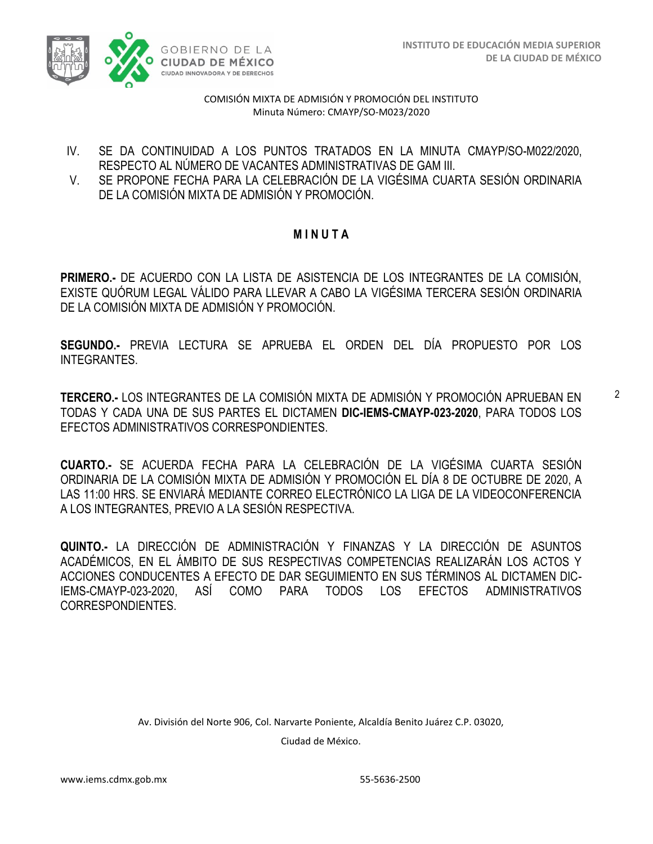

- IV. SE DA CONTINUIDAD A LOS PUNTOS TRATADOS EN LA MINUTA CMAYP/SO-M022/2020, RESPECTO AL NÚMERO DE VACANTES ADMINISTRATIVAS DE GAM III.
- V. SE PROPONE FECHA PARA LA CELEBRACIÓN DE LA VIGÉSIMA CUARTA SESIÓN ORDINARIA DE LA COMISIÓN MIXTA DE ADMISIÓN Y PROMOCIÓN.

# **M I N U T A**

**PRIMERO.-** DE ACUERDO CON LA LISTA DE ASISTENCIA DE LOS INTEGRANTES DE LA COMISIÓN, EXISTE QUÓRUM LEGAL VÁLIDO PARA LLEVAR A CABO LA VIGÉSIMA TERCERA SESIÓN ORDINARIA DE LA COMISIÓN MIXTA DE ADMISIÓN Y PROMOCIÓN.

**SEGUNDO.-** PREVIA LECTURA SE APRUEBA EL ORDEN DEL DÍA PROPUESTO POR LOS INTEGRANTES.

**TERCERO.-** LOS INTEGRANTES DE LA COMISIÓN MIXTA DE ADMISIÓN Y PROMOCIÓN APRUEBAN EN TODAS Y CADA UNA DE SUS PARTES EL DICTAMEN **DIC-IEMS-CMAYP-023-2020**, PARA TODOS LOS EFECTOS ADMINISTRATIVOS CORRESPONDIENTES.

**CUARTO.-** SE ACUERDA FECHA PARA LA CELEBRACIÓN DE LA VIGÉSIMA CUARTA SESIÓN ORDINARIA DE LA COMISIÓN MIXTA DE ADMISIÓN Y PROMOCIÓN EL DÍA 8 DE OCTUBRE DE 2020, A LAS 11:00 HRS. SE ENVIARÁ MEDIANTE CORREO ELECTRÓNICO LA LIGA DE LA VIDEOCONFERENCIA A LOS INTEGRANTES, PREVIO A LA SESIÓN RESPECTIVA.

**QUINTO.-** LA DIRECCIÓN DE ADMINISTRACIÓN Y FINANZAS Y LA DIRECCIÓN DE ASUNTOS ACADÉMICOS, EN EL ÁMBITO DE SUS RESPECTIVAS COMPETENCIAS REALIZARÁN LOS ACTOS Y ACCIONES CONDUCENTES A EFECTO DE DAR SEGUIMIENTO EN SUS TÉRMINOS AL DICTAMEN DIC-IEMS-CMAYP-023-2020, ASÍ COMO PARA TODOS LOS EFECTOS ADMINISTRATIVOS CORRESPONDIENTES.

Av. División del Norte 906, Col. Narvarte Poniente, Alcaldía Benito Juárez C.P. 03020,

Ciudad de México.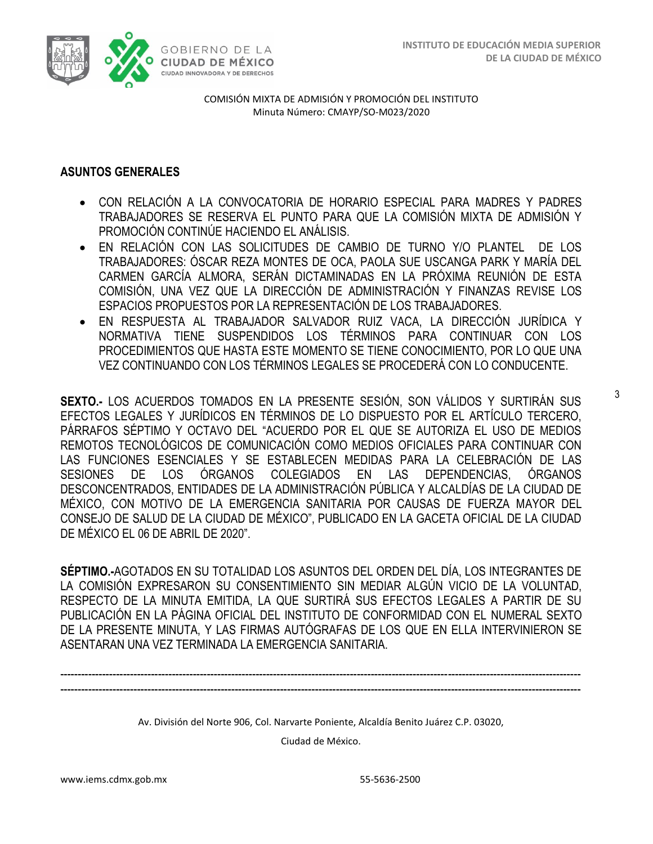

#### **ASUNTOS GENERALES**

- CON RELACIÓN A LA CONVOCATORIA DE HORARIO ESPECIAL PARA MADRES Y PADRES TRABAJADORES SE RESERVA EL PUNTO PARA QUE LA COMISIÓN MIXTA DE ADMISIÓN Y PROMOCIÓN CONTINÚE HACIENDO EL ANÁLISIS.
- EN RELACIÓN CON LAS SOLICITUDES DE CAMBIO DE TURNO Y/O PLANTEL DE LOS TRABAJADORES: ÓSCAR REZA MONTES DE OCA, PAOLA SUE USCANGA PARK Y MARÍA DEL CARMEN GARCÍA ALMORA, SERÁN DICTAMINADAS EN LA PRÓXIMA REUNIÓN DE ESTA COMISIÓN, UNA VEZ QUE LA DIRECCIÓN DE ADMINISTRACIÓN Y FINANZAS REVISE LOS ESPACIOS PROPUESTOS POR LA REPRESENTACIÓN DE LOS TRABAJADORES.
- EN RESPUESTA AL TRABAJADOR SALVADOR RUIZ VACA, LA DIRECCIÓN JURÍDICA Y NORMATIVA TIENE SUSPENDIDOS LOS TÉRMINOS PARA CONTINUAR CON LOS PROCEDIMIENTOS QUE HASTA ESTE MOMENTO SE TIENE CONOCIMIENTO, POR LO QUE UNA VEZ CONTINUANDO CON LOS TÉRMINOS LEGALES SE PROCEDERÁ CON LO CONDUCENTE.

**SEXTO.-** LOS ACUERDOS TOMADOS EN LA PRESENTE SESIÓN, SON VÁLIDOS Y SURTIRÁN SUS EFECTOS LEGALES Y JURÍDICOS EN TÉRMINOS DE LO DISPUESTO POR EL ARTÍCULO TERCERO, PÁRRAFOS SÉPTIMO Y OCTAVO DEL "ACUERDO POR EL QUE SE AUTORIZA EL USO DE MEDIOS REMOTOS TECNOLÓGICOS DE COMUNICACIÓN COMO MEDIOS OFICIALES PARA CONTINUAR CON LAS FUNCIONES ESENCIALES Y SE ESTABLECEN MEDIDAS PARA LA CELEBRACIÓN DE LAS SESIONES DE LOS ÓRGANOS COLEGIADOS EN LAS DEPENDENCIAS, ÓRGANOS DESCONCENTRADOS, ENTIDADES DE LA ADMINISTRACIÓN PÚBLICA Y ALCALDÍAS DE LA CIUDAD DE MÉXICO, CON MOTIVO DE LA EMERGENCIA SANITARIA POR CAUSAS DE FUERZA MAYOR DEL CONSEJO DE SALUD DE LA CIUDAD DE MÉXICO", PUBLICADO EN LA GACETA OFICIAL DE LA CIUDAD DE MÉXICO EL 06 DE ABRIL DE 2020".

**SÉPTIMO.-**AGOTADOS EN SU TOTALIDAD LOS ASUNTOS DEL ORDEN DEL DÍA, LOS INTEGRANTES DE LA COMISIÓN EXPRESARON SU CONSENTIMIENTO SIN MEDIAR ALGÚN VICIO DE LA VOLUNTAD, RESPECTO DE LA MINUTA EMITIDA, LA QUE SURTIRÁ SUS EFECTOS LEGALES A PARTIR DE SU PUBLICACIÓN EN LA PÁGINA OFICIAL DEL INSTITUTO DE CONFORMIDAD CON EL NUMERAL SEXTO DE LA PRESENTE MINUTA, Y LAS FIRMAS AUTÓGRAFAS DE LOS QUE EN ELLA INTERVINIERON SE ASENTARAN UNA VEZ TERMINADA LA EMERGENCIA SANITARIA.

----------------------------------------------------------------------------------------------------------------------------------------------------- -----------------------------------------------------------------------------------------------------------------------------------------------------

Av. División del Norte 906, Col. Narvarte Poniente, Alcaldía Benito Juárez C.P. 03020,

Ciudad de México.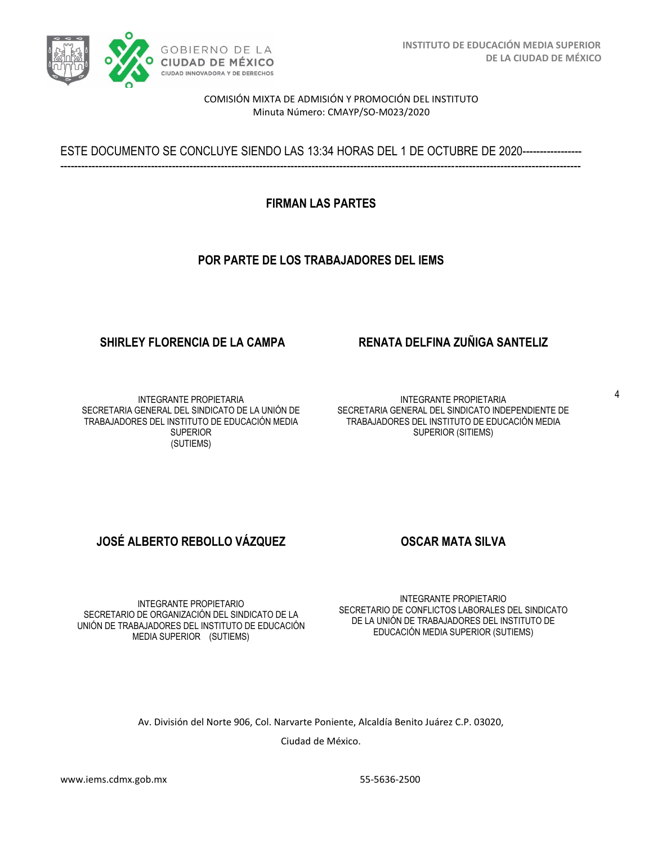

ESTE DOCUMENTO SE CONCLUYE SIENDO LAS 13:34 HORAS DEL 1 DE OCTUBRE DE 2020----------------- -----------------------------------------------------------------------------------------------------------------------------------------------------

**FIRMAN LAS PARTES**

#### **POR PARTE DE LOS TRABAJADORES DEL IEMS**

#### **SHIRLEY FLORENCIA DE LA CAMPA RENATA DELFINA ZUÑIGA SANTELIZ**

INTEGRANTE PROPIETARIA SECRETARIA GENERAL DEL SINDICATO DE LA UNIÓN DE TRABAJADORES DEL INSTITUTO DE EDUCACIÓN MEDIA SUPERIOR (SUTIEMS)

INTEGRANTE PROPIETARIA SECRETARIA GENERAL DEL SINDICATO INDEPENDIENTE DE TRABAJADORES DEL INSTITUTO DE EDUCACIÓN MEDIA SUPERIOR (SITIEMS)

# **JOSÉ ALBERTO REBOLLO VÁZQUEZ OSCAR MATA SILVA**

INTEGRANTE PROPIETARIO SECRETARIO DE ORGANIZACIÓN DEL SINDICATO DE LA UNIÓN DE TRABAJADORES DEL INSTITUTO DE EDUCACIÓN MEDIA SUPERIOR (SUTIEMS)

INTEGRANTE PROPIETARIO SECRETARIO DE CONFLICTOS LABORALES DEL SINDICATO DE LA UNIÓN DE TRABAJADORES DEL INSTITUTO DE EDUCACIÓN MEDIA SUPERIOR (SUTIEMS)

Av. División del Norte 906, Col. Narvarte Poniente, Alcaldía Benito Juárez C.P. 03020,

Ciudad de México.

4